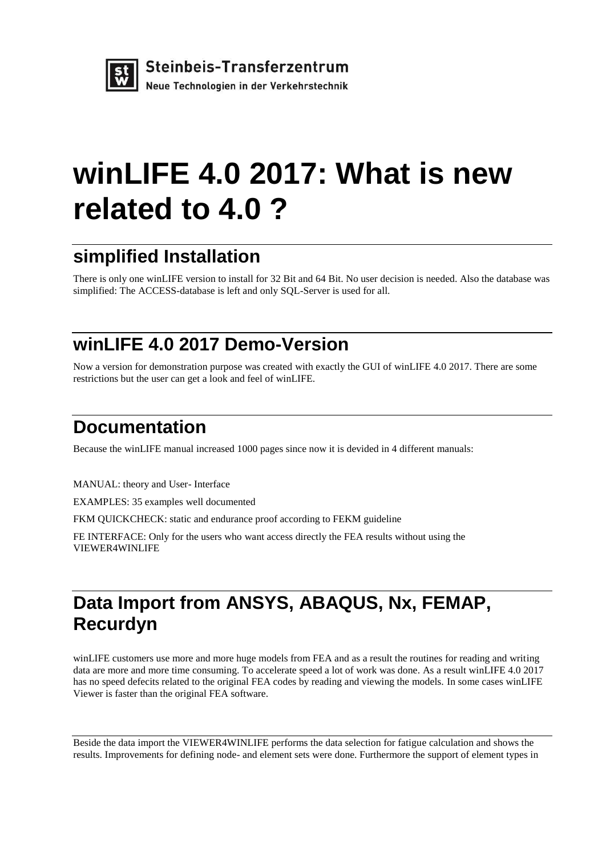

## **winLIFE 4.0 2017: What is new related to 4.0 ?**

### **simplified Installation**

There is only one winLIFE version to install for 32 Bit and 64 Bit. No user decision is needed. Also the database was simplified: The ACCESS-database is left and only SQL-Server is used for all.

### **winLIFE 4.0 2017 Demo-Version**

Now a version for demonstration purpose was created with exactly the GUI of winLIFE 4.0 2017. There are some restrictions but the user can get a look and feel of winLIFE.

#### **Documentation**

Because the winLIFE manual increased 1000 pages since now it is devided in 4 different manuals:

MANUAL: theory and User- Interface

EXAMPLES: 35 examples well documented

FKM QUICKCHECK: static and endurance proof according to FEKM guideline

FE INTERFACE: Only for the users who want access directly the FEA results without using the VIEWER4WINLIFE

### **Data Import from ANSYS, ABAQUS, Nx, FEMAP, Recurdyn**

winLIFE customers use more and more huge models from FEA and as a result the routines for reading and writing data are more and more time consuming. To accelerate speed a lot of work was done. As a result winLIFE 4.0 2017 has no speed defecits related to the original FEA codes by reading and viewing the models. In some cases winLIFE Viewer is faster than the original FEA software.

Beside the data import the VIEWER4WINLIFE performs the data selection for fatigue calculation and shows the results. Improvements for defining node- and element sets were done. Furthermore the support of element types in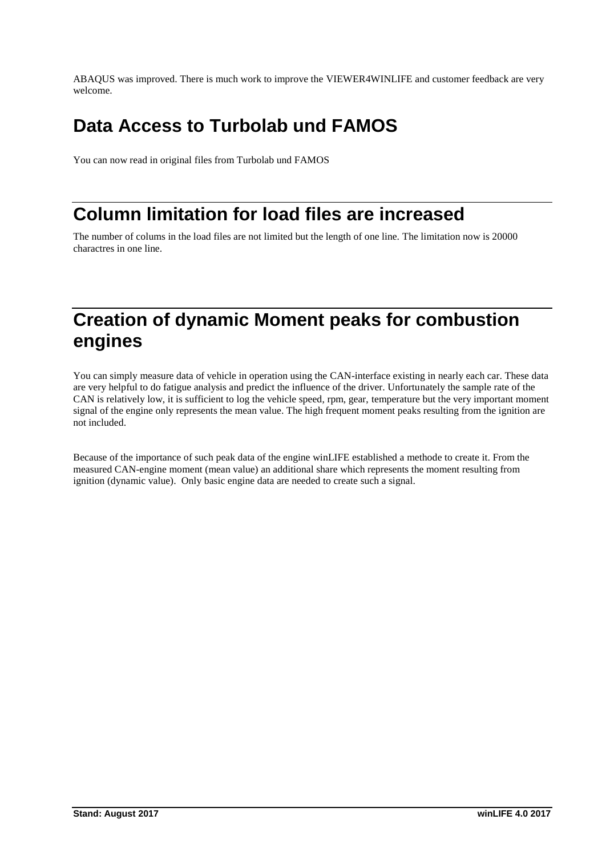ABAQUS was improved. There is much work to improve the VIEWER4WINLIFE and customer feedback are very welcome.

### **Data Access to Turbolab und FAMOS**

You can now read in original files from Turbolab und FAMOS

#### **Column limitation for load files are increased**

The number of colums in the load files are not limited but the length of one line. The limitation now is 20000 charactres in one line.

#### **Creation of dynamic Moment peaks for combustion engines**

You can simply measure data of vehicle in operation using the CAN-interface existing in nearly each car. These data are very helpful to do fatigue analysis and predict the influence of the driver. Unfortunately the sample rate of the CAN is relatively low, it is sufficient to log the vehicle speed, rpm, gear, temperature but the very important moment signal of the engine only represents the mean value. The high frequent moment peaks resulting from the ignition are not included.

Because of the importance of such peak data of the engine winLIFE established a methode to create it. From the measured CAN-engine moment (mean value) an additional share which represents the moment resulting from ignition (dynamic value). Only basic engine data are needed to create such a signal.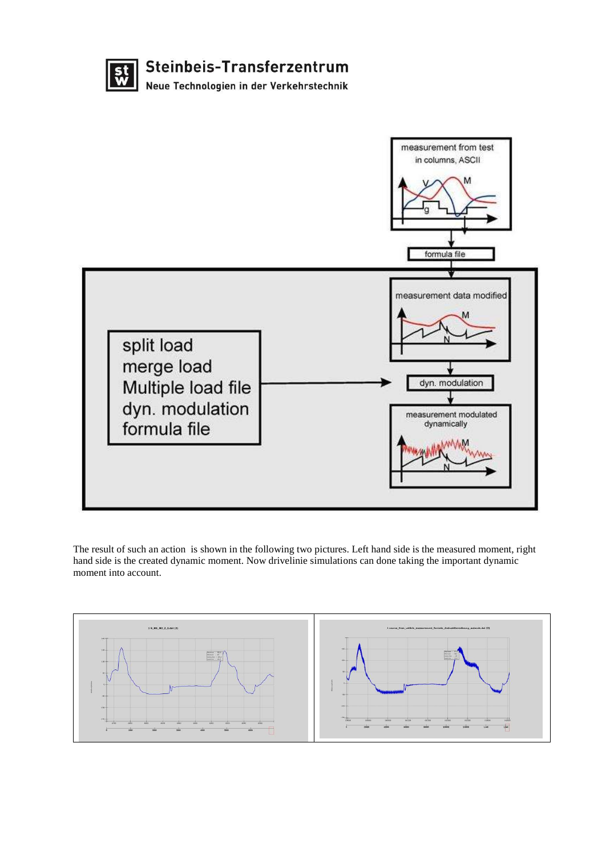



The result of such an action is shown in the following two pictures. Left hand side is the measured moment, right hand side is the created dynamic moment. Now drivelinie simulations can done taking the important dynamic moment into account.

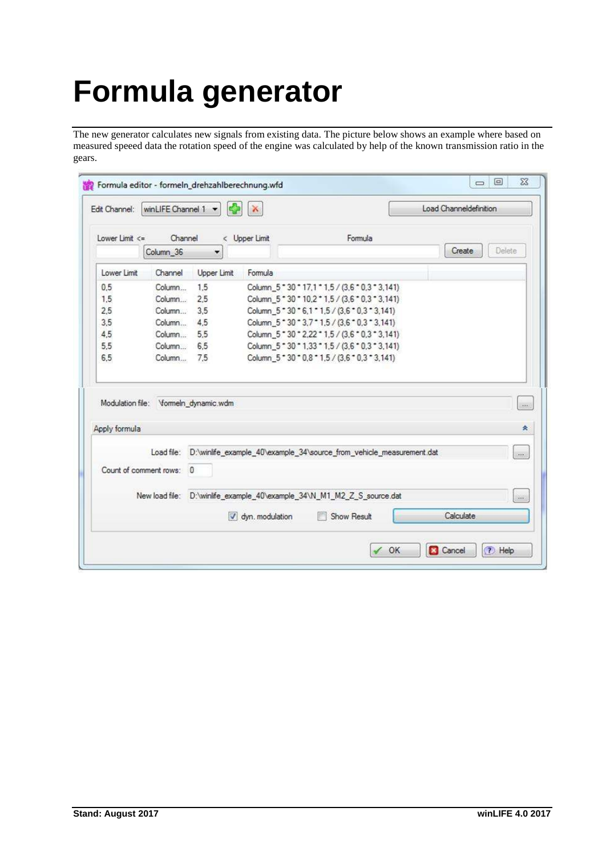# **Formula generator**

The new generator calculates new signals from existing data. The picture below shows an example where based on measured speeed data the rotation speed of the engine was calculated by help of the known transmission ratio in the gears.

|                                                       | winLIFE Channel 1 - | Ф                    | ×               |                                                                        | Load Channeldefinition |                |
|-------------------------------------------------------|---------------------|----------------------|-----------------|------------------------------------------------------------------------|------------------------|----------------|
| Lower Limit $\leq$                                    | Channel             |                      | < Upper Limit   | Formula                                                                |                        |                |
|                                                       | Column_36           | $\blacktriangledown$ |                 |                                                                        | Create                 | Delete         |
| Lower Limit                                           | Channel             | Upper Limit          | Formula         |                                                                        |                        |                |
| 0.5                                                   | Column              | 1.5                  |                 | Column_5 * 30 * 17,1 * 1,5 / (3,6 * 0,3 * 3,141)                       |                        |                |
| 1.5                                                   | Column 2.5          |                      |                 | Column_5 * 30 * 10,2 * 1,5 / (3,6 * 0,3 * 3,141)                       |                        |                |
| 2.5                                                   | Column              | 3.5                  |                 | Column_5 * 30 * 6,1 * 1,5 / (3,6 * 0,3 * 3,141)                        |                        |                |
| 3,5                                                   | Column              | 4.5                  |                 | Column_5 * 30 * 3,7 * 1,5 / (3,6 * 0,3 * 3,141)                        |                        |                |
| 4.5                                                   | Column 5.5          |                      |                 | Column 5 - 30 - 2.22 - 1.5 / (3.6 - 0.3 - 3.141)                       |                        |                |
| 5.5                                                   | Column 6,5          |                      |                 | Column_5 * 30 * 1,33 * 1,5 / (3,6 * 0,3 * 3,141)                       |                        |                |
| 6.5                                                   | Column 7.5          |                      |                 | Column_5 * 30 * 0.8 * 1.5 / (3.6 * 0.3 * 3.141)                        |                        |                |
| Modulation file: Vormeln_dynamic.wdm<br>Apply formula |                     |                      |                 |                                                                        |                        | $\lambda$<br>衾 |
|                                                       |                     |                      |                 |                                                                        |                        |                |
|                                                       | Load file:          |                      |                 | D:\winlife_example_40\example_34\source_from_vehicle_measurement.dat   |                        | oo.            |
| Count of comment rows: 0                              |                     |                      |                 |                                                                        |                        |                |
|                                                       |                     |                      |                 | New load file: D:\winlife_example_40\example_34\N_M1_M2_Z_S_source.dat |                        | 275            |
|                                                       |                     |                      | dyn. modulation | Show Result                                                            | Calculate              |                |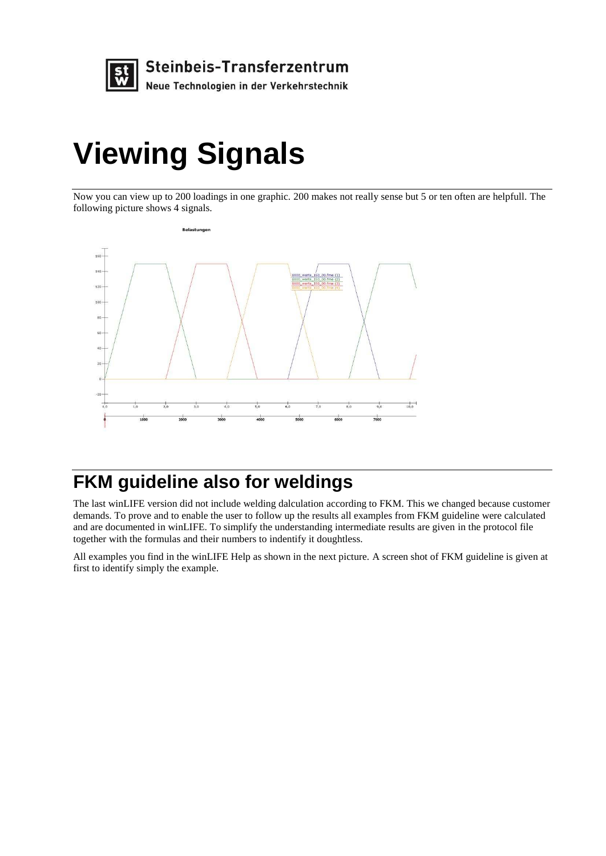

## **Viewing Signals**

Now you can view up to 200 loadings in one graphic. 200 makes not really sense but 5 or ten often are helpfull. The following picture shows 4 signals.



### **FKM guideline also for weldings**

The last winLIFE version did not include welding dalculation according to FKM. This we changed because customer demands. To prove and to enable the user to follow up the results all examples from FKM guideline were calculated and are documented in winLIFE. To simplify the understanding intermediate results are given in the protocol file together with the formulas and their numbers to indentify it doughtless.

All examples you find in the winLIFE Help as shown in the next picture. A screen shot of FKM guideline is given at first to identify simply the example.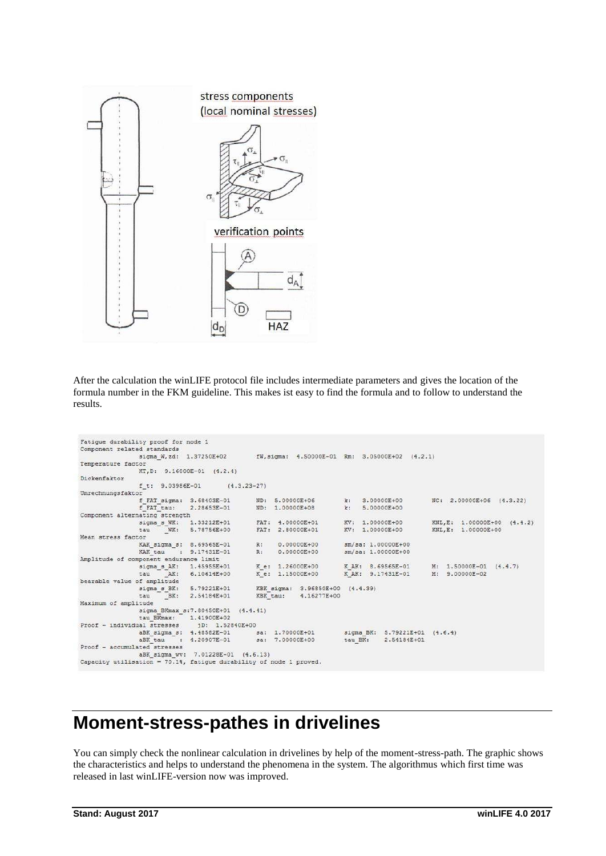

After the calculation the winLIFE protocol file includes intermediate parameters and gives the location of the formula number in the FKM guideline. This makes ist easy to find the formula and to follow to understand the results.

```
Fatigue durability proof for node 1
Component related standards
                     signa_W, zd: 1.37250E+02fW, sigma: 4.50000E-01 Rm: 3.05000E+02 (4.2.1)
Temperature factor
                     KT, D: 9.16000E-01 (4.2.4)
Dickenfaktor
                     f t: 9.03986E-01(4.3.23 - 27)Umrechnungsfaktor<br>f FAT sigma: 3.68403E-01
                                                                                              k: 3.00000E+00<br>k: 5.00000E+00ND: 5.00000E+06
                                                                                                                               NC: 2.00000E+06 (4.3.22)
                     EFAT tau:
                                        2.28653E-01
                                                               ND: 1.00000E+08
Component alternating strength
                                                                                              KV: 1.00000E+00rnating strength<br>sigma_s_WK: 1.33212E+01<br>tau _WK: 5.78756E+00<br>ster
                                                                                                                               KNL, E: 1.00000E+00 (4.4.2)<br>KNL, E: 1.00000E+00FAT: 4.00000E+01<br>FAT: 2.80000E+01
                                                                                               KV: 1.00000E+00
Mean stress factor
                     KAK_sigma_s: 8.69565E-01<br>KAK_tau : 9.17431E-01
                                                               \begin{tabular}{ll} R: & 0.00000E+00 \\ R: & 0.00000E+00 \end{tabular}\frac{sm}{sa}: 1.00000E+00<br>\frac{sm}{sa}: 1.00000E+00
Amplitude of component endurance limit
                     mponent endurance limit<br>sigma_s_AK: 1.45955E+01<br>tau __AK: 6.10614E+00
                                                             K_e: 1.26000E+00<br>K_e: 1.15000E+00
                                                                                                                             M: 1.50000E-01 (4.4.7)<br>M: 9.00000E-02
                                                                                                K AK: 8.69565E-01
                                                                                              KAK: 9.17431E-01
bearable value of amplitude
                     of amplitude<br>sigma_s_BK: 5.79221E+01<br>tau __BK: 2.54184E+01<br>itude
                                                            KBK_sigma: 3.96850E+00 (4.4.39)<br>KBK_tau: 4.16277E+00
Maximum of amplitude
                     signa_BKmax_s:7.80450E+01 (4.4.41)
sigma_bKmax: 3:..007500E+02<br>Exmax: 1.41900E+02<br>Proof - individual stresses<br>aBK sigma s: 4.48582E-01
                                          jD: 1.52840E+00
                                                          02+00<br>sa: 1.70000E+01<br>sa: 7.00000E+00
                                                                                                sigma_BK: 5.79221E+01 (4.6.4)<br>tau_BK: 2.54184E+01
                     aBK_sigma_s: 4.48582E-01
                                                                                               tau_BK:
                                    4.20907E-01aBK<sub>cau</sub>
Proof - accumulated stresses
                    aBK_sigma_wv: 7.01228E-01 (4.6.13)
Capacity utilisation = 70.1<sup>*</sup>, fatigue durability of node 1 proved.
```
#### **Moment-stress-pathes in drivelines**

You can simply check the nonlinear calculation in drivelines by help of the moment-stress-path. The graphic shows the characteristics and helps to understand the phenomena in the system. The algorithmus which first time was released in last winLIFE-version now was improved.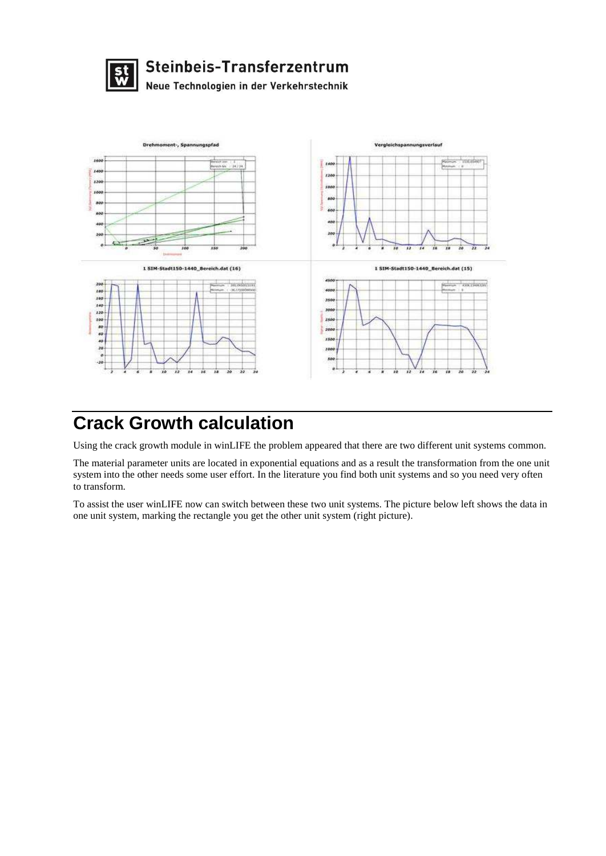



### **Crack Growth calculation**

Using the crack growth module in winLIFE the problem appeared that there are two different unit systems common.

The material parameter units are located in exponential equations and as a result the transformation from the one unit system into the other needs some user effort. In the literature you find both unit systems and so you need very often to transform.

To assist the user winLIFE now can switch between these two unit systems. The picture below left shows the data in one unit system, marking the rectangle you get the other unit system (right picture).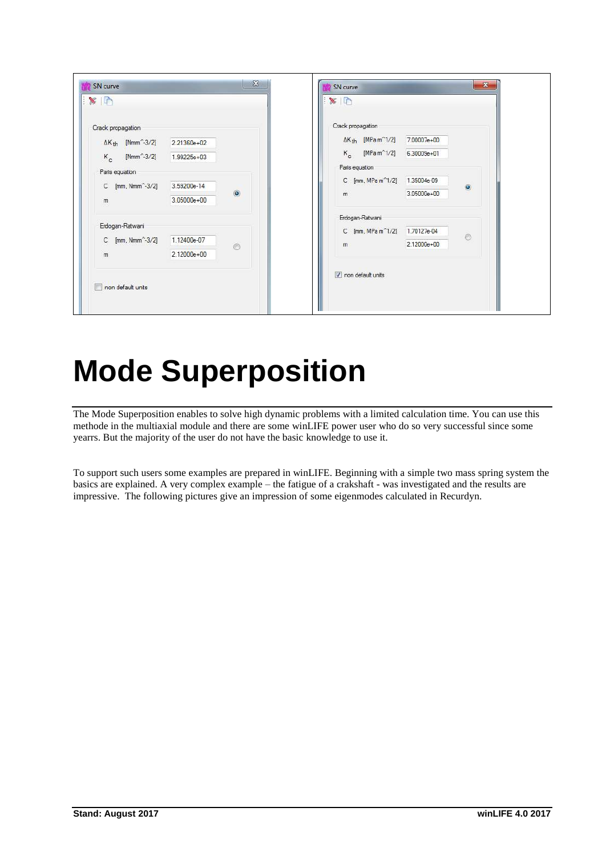| R                                               |             |                | $\times$     |                                            |             |                |
|-------------------------------------------------|-------------|----------------|--------------|--------------------------------------------|-------------|----------------|
| Crack propagation                               |             |                |              | Crack propagation                          |             |                |
| $\Delta K_{\text{th}}$ [Nmm <sup>-2</sup> -3/2] | 2.21360e+02 |                |              | $\Delta K_{th}$ [MPa m <sup>2</sup> 1/2]   | 7.00007e+00 |                |
| $K_c$ [Nmm <sup>-2</sup> -3/2] 1.99225e+03      |             |                |              | $K_c$ [MPa m <sup>^1</sup> /2] 6.30009e+01 |             |                |
| Paris equation                                  |             |                |              | Paris equation                             |             |                |
| C [mm, Nmm <sup>2</sup> -3/2]                   | 3.59200e-14 |                |              | C [mm, MPa m <sup>2</sup> 1/2] 1.35004e-09 |             | $\odot$        |
| m                                               | 3.05000e+00 | $\circledcirc$ | $\mathbf{m}$ |                                            | 3.05000e+00 |                |
|                                                 |             |                |              |                                            |             |                |
| Erdogan-Ratwani                                 |             |                |              | Erdogan-Ratwani                            |             |                |
| C [mm, Nmm <sup>-2</sup> -3/2]                  | 1.12400e-07 |                |              | C [mm, MPa m <sup>^1</sup> /2] 1.70127e-04 |             | $\circledcirc$ |
| m                                               | 2.12000e+00 | $\circ$        | m            |                                            | 2.12000e+00 |                |
| non default units                               |             |                |              | non default units                          |             |                |

## **Mode Superposition**

The Mode Superposition enables to solve high dynamic problems with a limited calculation time. You can use this methode in the multiaxial module and there are some winLIFE power user who do so very successful since some yearrs. But the majority of the user do not have the basic knowledge to use it.

To support such users some examples are prepared in winLIFE. Beginning with a simple two mass spring system the basics are explained. A very complex example – the fatigue of a crakshaft - was investigated and the results are impressive. The following pictures give an impression of some eigenmodes calculated in Recurdyn.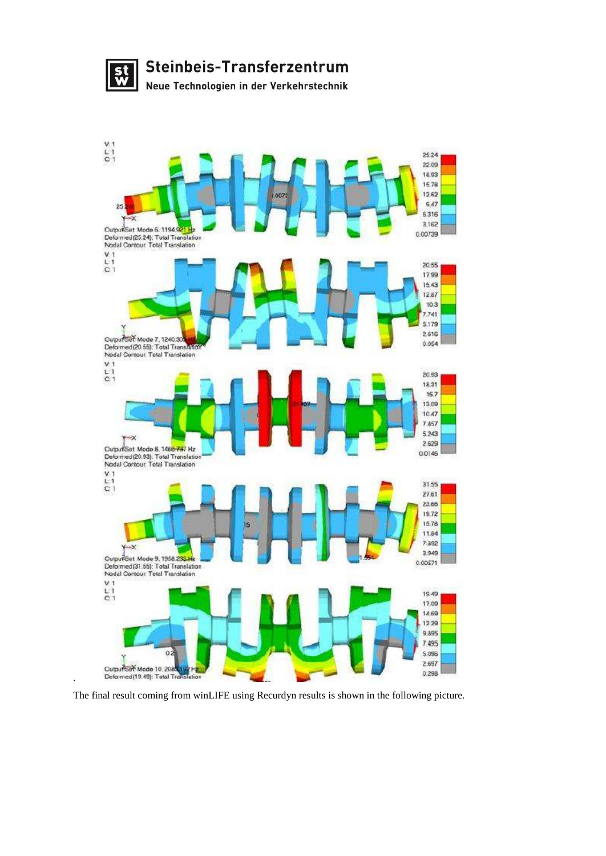



The final result coming from winLIFE using Recurdyn results is shown in the following picture.

.